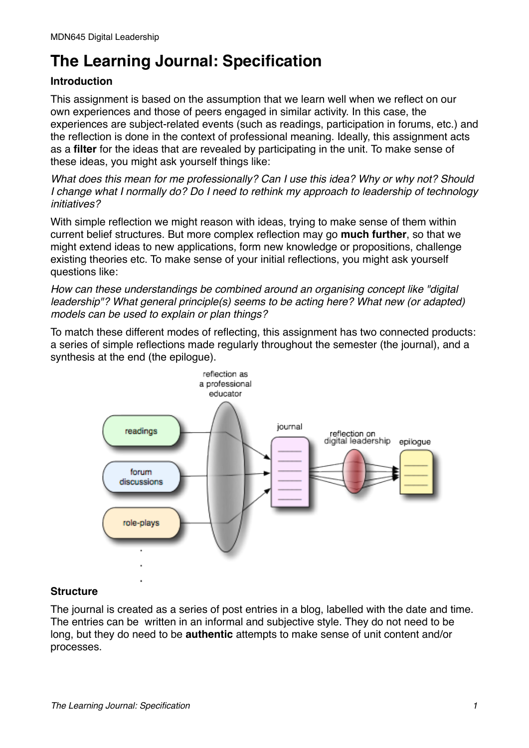# **The Learning Journal: Specification**

### **Introduction**

This assignment is based on the assumption that we learn well when we reflect on our own experiences and those of peers engaged in similar activity. In this case, the experiences are subject-related events (such as readings, participation in forums, etc.) and the reflection is done in the context of professional meaning. Ideally, this assignment acts as a **filter** for the ideas that are revealed by participating in the unit. To make sense of these ideas, you might ask yourself things like:

*What does this mean for me professionally? Can I use this idea? Why or why not? Should I change what I normally do? Do I need to rethink my approach to leadership of technology initiatives?*

With simple reflection we might reason with ideas, trying to make sense of them within current belief structures. But more complex reflection may go **much further**, so that we might extend ideas to new applications, form new knowledge or propositions, challenge existing theories etc. To make sense of your initial reflections, you might ask yourself questions like:

*How can these understandings be combined around an organising concept like "digital leadership"? What general principle(s) seems to be acting here? What new (or adapted) models can be used to explain or plan things?*

To match these different modes of reflecting, this assignment has two connected products: a series of simple reflections made regularly throughout the semester (the journal), and a synthesis at the end (the epilogue).



### **Structure**

The journal is created as a series of post entries in a blog, labelled with the date and time. The entries can be written in an informal and subjective style. They do not need to be long, but they do need to be **authentic** attempts to make sense of unit content and/or processes.